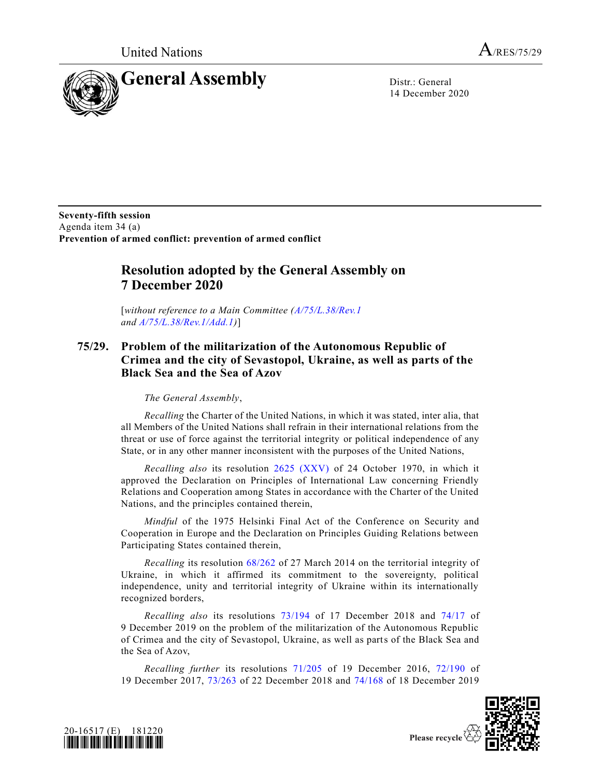

14 December 2020

**Seventy-fifth session** Agenda item 34 (a) **Prevention of armed conflict: prevention of armed conflict** 

## **Resolution adopted by the General Assembly on 7 December 2020**

[*without reference to a Main Committee [\(A/75/L.38/Rev.1](https://undocs.org/en/A/75/L.38/Rev.1) and [A/75/L.38/Rev.1/Add.1\)](https://undocs.org/en/A/75/L.38/Rev.1/Add.1)*]

## **75/29. Problem of the militarization of the Autonomous Republic of Crimea and the city of Sevastopol, Ukraine, as well as parts of the Black Sea and the Sea of Azov**

*The General Assembly*,

*Recalling* the Charter of the United Nations, in which it was stated, inter alia, that all Members of the United Nations shall refrain in their international relations from the threat or use of force against the territorial integrity or political independence of any State, or in any other manner inconsistent with the purposes of the United Nations,

*Recalling also* its resolution [2625 \(XXV\)](https://undocs.org/en/A/RES/2625(XXV)) of 24 October 1970, in which it approved the Declaration on Principles of International Law concerning Friendly Relations and Cooperation among States in accordance with the Charter of the United Nations, and the principles contained therein,

*Mindful* of the 1975 Helsinki Final Act of the Conference on Security and Cooperation in Europe and the Declaration on Principles Guiding Relations between Participating States contained therein,

*Recalling* its resolution [68/262](https://undocs.org/en/A/RES/68/262) of 27 March 2014 on the territorial integrity of Ukraine, in which it affirmed its commitment to the sovereignty, political independence, unity and territorial integrity of Ukraine within its internationally recognized borders,

*Recalling also* its resolutions [73/194](https://undocs.org/en/A/RES/73/194) of 17 December 2018 and [74/17](https://undocs.org/en/A/RES/74/17) of 9 December 2019 on the problem of the militarization of the Autonomous Republic of Crimea and the city of Sevastopol, Ukraine, as well as parts of the Black Sea and the Sea of Azov,

*Recalling further* its resolutions [71/205](https://undocs.org/en/A/RES/71/205) of 19 December 2016, [72/190](https://undocs.org/en/A/RES/72/190) of 19 December 2017, [73/263](https://undocs.org/en/A/RES/73/263) of 22 December 2018 and [74/168](https://undocs.org/en/A/RES/74/168) of 18 December 2019



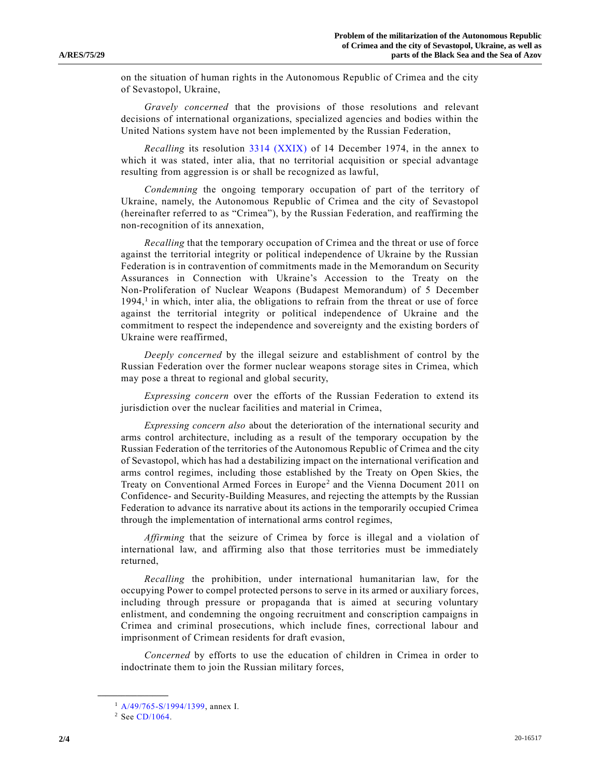on the situation of human rights in the Autonomous Republic of Crimea and the city of Sevastopol, Ukraine,

*Gravely concerned* that the provisions of those resolutions and relevant decisions of international organizations, specialized agencies and bodies within the United Nations system have not been implemented by the Russian Federation,

*Recalling* its resolution [3314 \(XXIX\)](https://undocs.org/en/A/RES/3314(XXIX)) of 14 December 1974, in the annex to which it was stated, inter alia, that no territorial acquisition or special advantage resulting from aggression is or shall be recognized as lawful,

*Condemning* the ongoing temporary occupation of part of the territory of Ukraine, namely, the Autonomous Republic of Crimea and the city of Sevastopol (hereinafter referred to as "Crimea"), by the Russian Federation, and reaffirming the non-recognition of its annexation,

*Recalling* that the temporary occupation of Crimea and the threat or use of force against the territorial integrity or political independence of Ukraine by the Russian Federation is in contravention of commitments made in the Memorandum on Security Assurances in Connection with Ukraine's Accession to the Treaty on the Non- Proliferation of Nuclear Weapons (Budapest Memorandum) of 5 December  $1994<sup>1</sup>$  in which, inter alia, the obligations to refrain from the threat or use of force against the territorial integrity or political independence of Ukraine and the commitment to respect the independence and sovereignty and the existing borders of Ukraine were reaffirmed,

*Deeply concerned* by the illegal seizure and establishment of control by the Russian Federation over the former nuclear weapons storage sites in Crimea, which may pose a threat to regional and global security,

*Expressing concern* over the efforts of the Russian Federation to extend its jurisdiction over the nuclear facilities and material in Crimea,

*Expressing concern also* about the deterioration of the international security and arms control architecture, including as a result of the temporary occupation by the Russian Federation of the territories of the Autonomous Republic of Crimea and the city of Sevastopol, which has had a destabilizing impact on the international verification and arms control regimes, including those established by the Treaty on Open Skies, the Treaty on Conventional Armed Forces in Europe<sup>2</sup> and the Vienna Document 2011 on Confidence- and Security-Building Measures, and rejecting the attempts by the Russian Federation to advance its narrative about its actions in the temporarily occupied Crimea through the implementation of international arms control regimes,

*Affirming* that the seizure of Crimea by force is illegal and a violation of international law, and affirming also that those territories must be immediately returned,

*Recalling* the prohibition, under international humanitarian law, for the occupying Power to compel protected persons to serve in its armed or auxiliary forces, including through pressure or propaganda that is aimed at securing voluntary enlistment, and condemning the ongoing recruitment and conscription campaigns in Crimea and criminal prosecutions, which include fines, correctional labour and imprisonment of Crimean residents for draft evasion,

*Concerned* by efforts to use the education of children in Crimea in order to indoctrinate them to join the Russian military forces,

**\_\_\_\_\_\_\_\_\_\_\_\_\_\_\_\_\_\_**

<sup>1</sup> [A/49/765-S/1994/1399,](https://undocs.org/en/A/49/765) annex I.

<sup>2</sup> See [CD/1064.](https://undocs.org/en/CD/1064)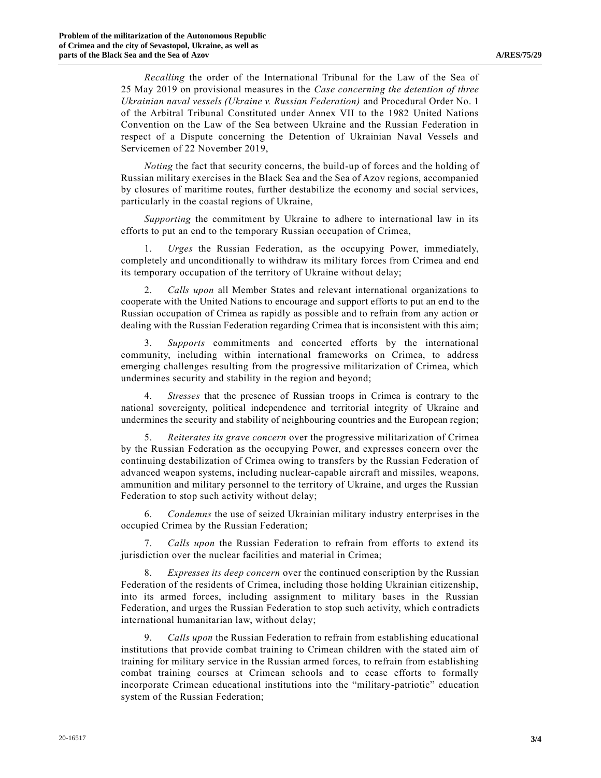*Recalling* the order of the International Tribunal for the Law of the Sea of 25 May 2019 on provisional measures in the *Case concerning the detention of three Ukrainian naval vessels (Ukraine v. Russian Federation)* and Procedural Order No. 1 of the Arbitral Tribunal Constituted under Annex VII to the 1982 United Nations Convention on the Law of the Sea between Ukraine and the Russian Federation in respect of a Dispute concerning the Detention of Ukrainian Naval Vessels and Servicemen of 22 November 2019,

*Noting* the fact that security concerns, the build-up of forces and the holding of Russian military exercises in the Black Sea and the Sea of Azov regions, accompanied by closures of maritime routes, further destabilize the economy and social services, particularly in the coastal regions of Ukraine,

*Supporting* the commitment by Ukraine to adhere to international law in its efforts to put an end to the temporary Russian occupation of Crimea,

1. *Urges* the Russian Federation, as the occupying Power, immediately, completely and unconditionally to withdraw its military forces from Crimea and end its temporary occupation of the territory of Ukraine without delay;

2. *Calls upon* all Member States and relevant international organizations to cooperate with the United Nations to encourage and support efforts to put an end to the Russian occupation of Crimea as rapidly as possible and to refrain from any action or dealing with the Russian Federation regarding Crimea that is inconsistent with this aim;

3. *Supports* commitments and concerted efforts by the international community, including within international frameworks on Crimea, to address emerging challenges resulting from the progressive militarization of Crimea, which undermines security and stability in the region and beyond;

4. *Stresses* that the presence of Russian troops in Crimea is contrary to the national sovereignty, political independence and territorial integrity of Ukraine and undermines the security and stability of neighbouring countries and the European region;

5. *Reiterates its grave concern* over the progressive militarization of Crimea by the Russian Federation as the occupying Power, and expresses concern over the continuing destabilization of Crimea owing to transfers by the Russian Federation of advanced weapon systems, including nuclear-capable aircraft and missiles, weapons, ammunition and military personnel to the territory of Ukraine, and urges the Russian Federation to stop such activity without delay;

6. *Condemns* the use of seized Ukrainian military industry enterprises in the occupied Crimea by the Russian Federation;

7. *Calls upon* the Russian Federation to refrain from efforts to extend its jurisdiction over the nuclear facilities and material in Crimea;

8. *Expresses its deep concern* over the continued conscription by the Russian Federation of the residents of Crimea, including those holding Ukrainian citizenship, into its armed forces, including assignment to military bases in the Russian Federation, and urges the Russian Federation to stop such activity, which contradicts international humanitarian law, without delay;

9. *Calls upon* the Russian Federation to refrain from establishing educational institutions that provide combat training to Crimean children with the stated aim of training for military service in the Russian armed forces, to refrain from establishing combat training courses at Crimean schools and to cease efforts to formally incorporate Crimean educational institutions into the "military-patriotic" education system of the Russian Federation;